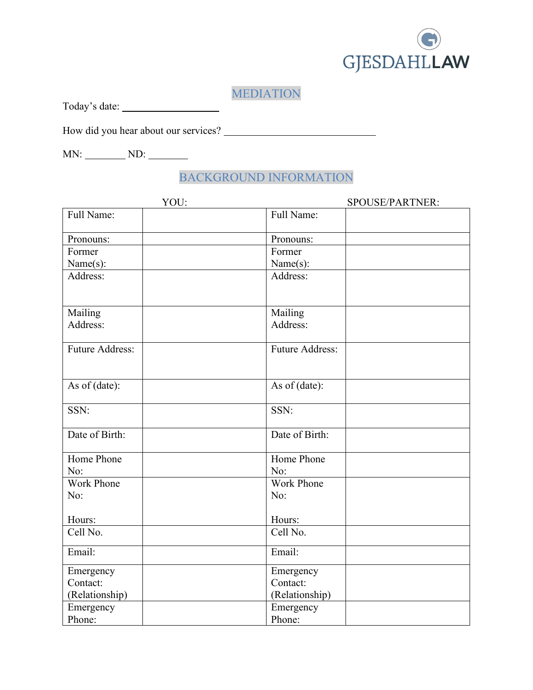

# MEDIATION

Today's date:

How did you hear about our services?

MN: ND: ND:

### BACKGROUND INFORMATION

| YOU:                   | SPOUSE/PARTNER:        |  |
|------------------------|------------------------|--|
| Full Name:             | Full Name:             |  |
| Pronouns:              | Pronouns:              |  |
| Former                 | Former                 |  |
| Name(s):               | Name(s):               |  |
| Address:               | Address:               |  |
| Mailing                | Mailing                |  |
| Address:               | Address:               |  |
| <b>Future Address:</b> | <b>Future Address:</b> |  |
| As of (date):          | As of (date):          |  |
| SSN:                   | SSN:                   |  |
| Date of Birth:         | Date of Birth:         |  |
| Home Phone             | Home Phone             |  |
| No:                    | No:                    |  |
| <b>Work Phone</b>      | <b>Work Phone</b>      |  |
| No:                    | No:                    |  |
| Hours:                 | Hours:                 |  |
| Cell No.               | Cell No.               |  |
| Email:                 | Email:                 |  |
| Emergency              | Emergency              |  |
| Contact:               | Contact:               |  |
| (Relationship)         | (Relationship)         |  |
| Emergency              | Emergency              |  |
| Phone:                 | Phone:                 |  |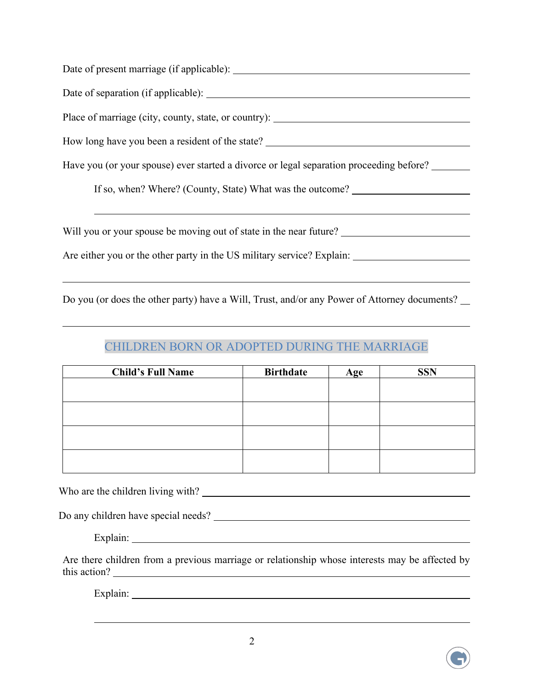| Place of marriage (city, county, state, or country):                                    |
|-----------------------------------------------------------------------------------------|
| How long have you been a resident of the state?                                         |
| Have you (or your spouse) ever started a divorce or legal separation proceeding before? |
| If so, when? Where? (County, State) What was the outcome? ______________________        |
|                                                                                         |
| Will you or your spouse be moving out of state in the near future?                      |
|                                                                                         |

Do you (or does the other party) have a Will, Trust, and/or any Power of Attorney documents?

#### CHILDREN BORN OR ADOPTED DURING THE MARRIAGE

| <b>Child's Full Name</b> | <b>Birthdate</b> | Age | <b>SSN</b> |
|--------------------------|------------------|-----|------------|
|                          |                  |     |            |
|                          |                  |     |            |
|                          |                  |     |            |
|                          |                  |     |            |

Who are the children living with?

 $\overline{a}$ 

Do any children have special needs?

Explain:

Are there children from a previous marriage or relationship whose interests may be affected by this action?

Explain:

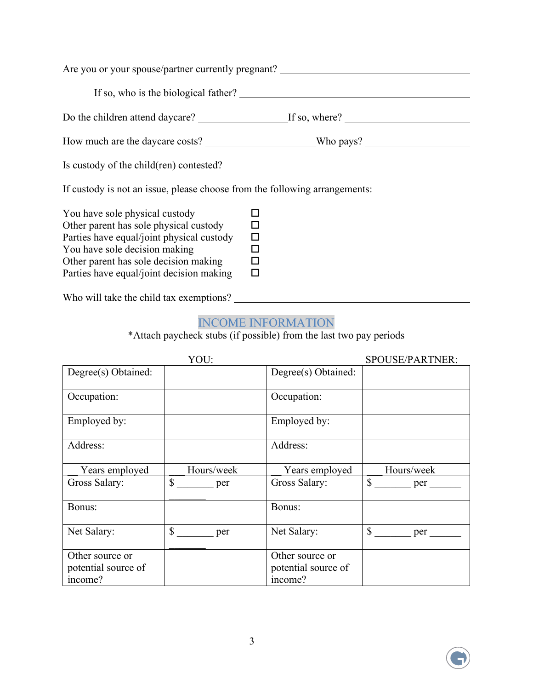|                                                                                                                       | Are you or your spouse/partner currently pregnant? |
|-----------------------------------------------------------------------------------------------------------------------|----------------------------------------------------|
|                                                                                                                       |                                                    |
|                                                                                                                       |                                                    |
|                                                                                                                       |                                                    |
| Is custody of the child(ren) contested?                                                                               |                                                    |
| If custody is not an issue, please choose from the following arrangements:                                            |                                                    |
| You have sole physical custody<br>Other parent has sole physical custody<br>Parties have equal/joint physical custody | □<br>□                                             |

You have sole decision making  $\square$ <br>Other parent has sole decision making  $\square$ Other parent has sole decision making Parties have equal/joint decision making  $\square$ 

Who will take the child tax exemptions?

#### INCOME INFORMATION

\*Attach paycheck stubs (if possible) from the last two pay periods

|                                                   | YOU:                |                                                   | SPOUSE/PARTNER:     |
|---------------------------------------------------|---------------------|---------------------------------------------------|---------------------|
| Degree(s) Obtained:                               |                     | Degree(s) Obtained:                               |                     |
| Occupation:                                       |                     | Occupation:                                       |                     |
| Employed by:                                      |                     | Employed by:                                      |                     |
| Address:                                          |                     | Address:                                          |                     |
| Years employed                                    | Hours/week          | Years employed                                    | Hours/week          |
| Gross Salary:                                     | $\mathbb{S}$<br>per | Gross Salary:                                     | $\mathbb{S}$<br>per |
| Bonus:                                            |                     | Bonus:                                            |                     |
| Net Salary:                                       | \$<br>per           | Net Salary:                                       | $\mathbb{S}$<br>per |
| Other source or<br>potential source of<br>income? |                     | Other source or<br>potential source of<br>income? |                     |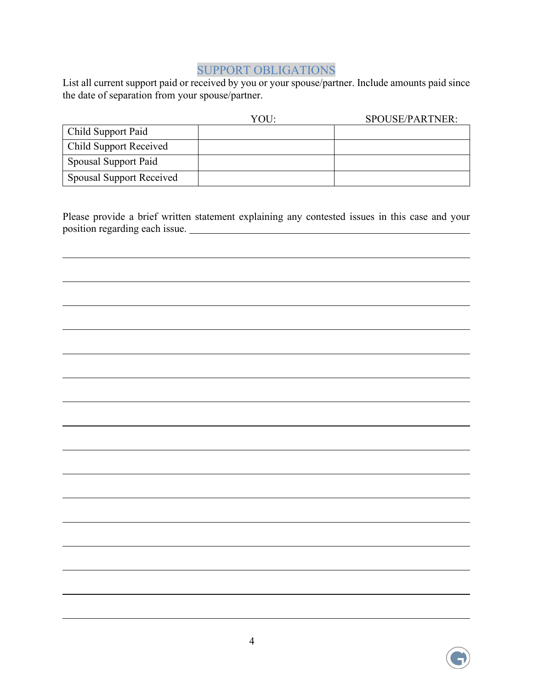#### SUPPORT OBLIGATIONS

List all current support paid or received by you or your spouse/partner. Include amounts paid since the date of separation from your spouse/partner.

|                                 | YOU: | SPOUSE/PARTNER: |
|---------------------------------|------|-----------------|
| Child Support Paid              |      |                 |
| <b>Child Support Received</b>   |      |                 |
| Spousal Support Paid            |      |                 |
| <b>Spousal Support Received</b> |      |                 |

Please provide a brief written statement explaining any contested issues in this case and your position regarding each issue.

 $\overline{a}$ 

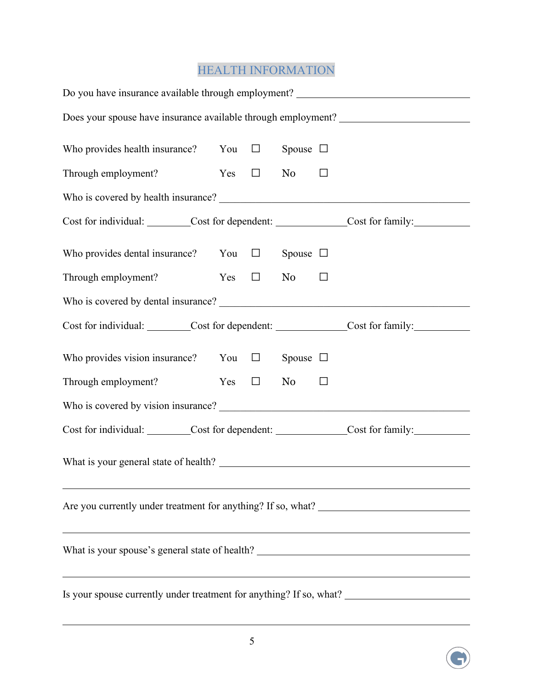# HEALTH INFORMATION

| Do you have insurance available through employment? ____________________________                     |  |            |               |        |  |
|------------------------------------------------------------------------------------------------------|--|------------|---------------|--------|--|
| Does your spouse have insurance available through employment? ___________________                    |  |            |               |        |  |
| Who provides health insurance? You $\square$                                                         |  |            | Spouse $\Box$ |        |  |
| Through employment?                                                                                  |  | $Yes \Box$ | No $\Box$     |        |  |
|                                                                                                      |  |            |               |        |  |
| Cost for individual: ________Cost for dependent: _____________Cost for family: ____________________  |  |            |               |        |  |
| Who provides dental insurance? You $\Box$                                                            |  |            | Spouse $\Box$ |        |  |
| Through employment?                                                                                  |  | $Yes \Box$ | No No         | $\Box$ |  |
|                                                                                                      |  |            |               |        |  |
| Cost for individual: ________Cost for dependent: _____________Cost for family: ____________________  |  |            |               |        |  |
| Who provides vision insurance? You $\Box$                                                            |  |            | Spouse $\Box$ |        |  |
| Through employment?                                                                                  |  | $Yes \Box$ | No No         | $\Box$ |  |
|                                                                                                      |  |            |               |        |  |
| Cost for individual: ________Cost for dependent: _____________Cost for family: ____________________  |  |            |               |        |  |
|                                                                                                      |  |            |               |        |  |
| <u> 1989 - Johann Stoff, amerikansk politiker (d. 1989)</u>                                          |  |            |               |        |  |
| What is your spouse's general state of health? _________________________________                     |  |            |               |        |  |
| Is your spouse currently under treatment for anything? If so, what? ________________________________ |  |            |               |        |  |



 $\overline{a}$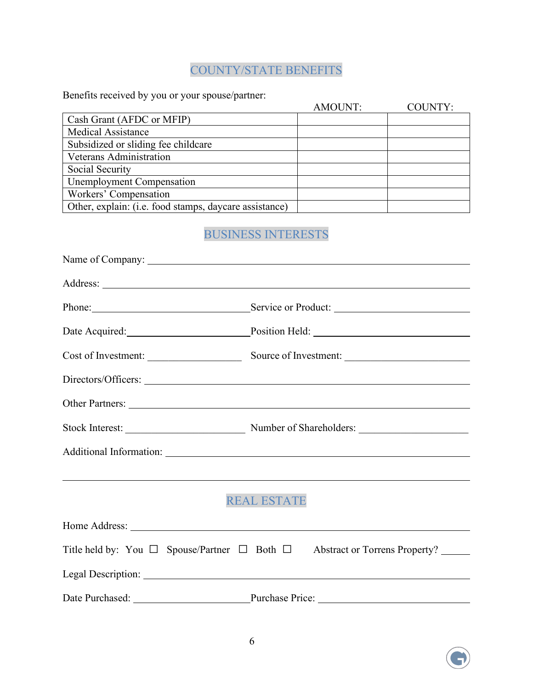## COUNTY/STATE BENEFITS

Benefits received by you or your spouse/partner:

|                                                        | AMOUNT: | COUNTY: |
|--------------------------------------------------------|---------|---------|
| Cash Grant (AFDC or MFIP)                              |         |         |
| <b>Medical Assistance</b>                              |         |         |
| Subsidized or sliding fee childcare                    |         |         |
| Veterans Administration                                |         |         |
| Social Security                                        |         |         |
| <b>Unemployment Compensation</b>                       |         |         |
| Workers' Compensation                                  |         |         |
| Other, explain: (i.e. food stamps, daycare assistance) |         |         |

# BUSINESS INTERESTS

|                     | Phone: Service or Product:                                                                                           |
|---------------------|----------------------------------------------------------------------------------------------------------------------|
|                     | Date Acquired: Position Held: Position Held:                                                                         |
| Cost of Investment: | Source of Investment:                                                                                                |
|                     |                                                                                                                      |
|                     |                                                                                                                      |
|                     |                                                                                                                      |
|                     |                                                                                                                      |
|                     | <u> 2000 - Andrea Andrewski, američki politik († 18. december - 18. december - 18. december - 18. december - 18.</u> |
|                     | <b>REAL ESTATE</b>                                                                                                   |
|                     |                                                                                                                      |
|                     | Title held by: You $\Box$ Spouse/Partner $\Box$ Both $\Box$ Abstract or Torrens Property?                            |
|                     |                                                                                                                      |
|                     | Date Purchased: Purchase Price: Purchase Price:                                                                      |

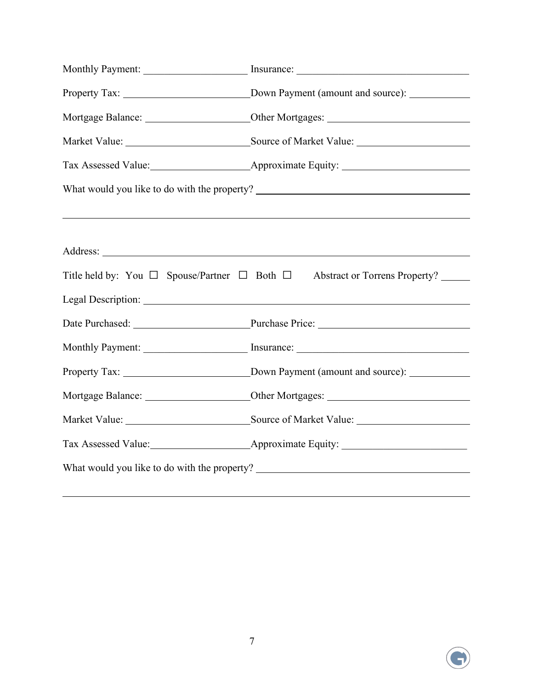| Mortgage Balance: _________________________Other Mortgages: _____________________                                     |
|-----------------------------------------------------------------------------------------------------------------------|
|                                                                                                                       |
|                                                                                                                       |
| What would you like to do with the property? ___________________________________                                      |
| <u> 1989 - Andrea Station Barbara, amerikan bahasa perangan perangan perangan perangan perangan perangan perangan</u> |
|                                                                                                                       |
| Title held by: You □ Spouse/Partner □ Both □ Abstract or Torrens Property? _____                                      |
|                                                                                                                       |
| Date Purchased: Purchase Price: Purchase Price: 2008                                                                  |
|                                                                                                                       |
|                                                                                                                       |
|                                                                                                                       |
|                                                                                                                       |
|                                                                                                                       |
| What would you like to do with the property? ___________________________________                                      |
|                                                                                                                       |

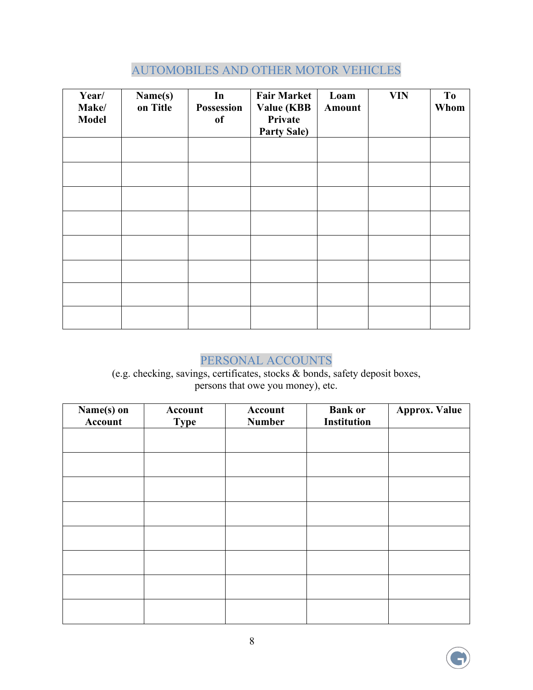### AUTOMOBILES AND OTHER MOTOR VEHICLES

| Year/<br>Make/<br><b>Model</b> | Name(s)<br>on Title | In<br>Possession<br><sub>of</sub> | <b>Fair Market</b><br><b>Value (KBB</b><br>Private<br><b>Party Sale)</b> | Loam<br>Amount | <b>VIN</b> | To<br>Whom |
|--------------------------------|---------------------|-----------------------------------|--------------------------------------------------------------------------|----------------|------------|------------|
|                                |                     |                                   |                                                                          |                |            |            |
|                                |                     |                                   |                                                                          |                |            |            |
|                                |                     |                                   |                                                                          |                |            |            |
|                                |                     |                                   |                                                                          |                |            |            |
|                                |                     |                                   |                                                                          |                |            |            |
|                                |                     |                                   |                                                                          |                |            |            |
|                                |                     |                                   |                                                                          |                |            |            |
|                                |                     |                                   |                                                                          |                |            |            |

## PERSONAL ACCOUNTS

(e.g. checking, savings, certificates, stocks & bonds, safety deposit boxes, persons that owe you money), etc.

| Name(s) on<br>Account | Account<br><b>Type</b> | Account<br><b>Number</b> | <b>Bank or</b><br><b>Institution</b> | <b>Approx. Value</b> |
|-----------------------|------------------------|--------------------------|--------------------------------------|----------------------|
|                       |                        |                          |                                      |                      |
|                       |                        |                          |                                      |                      |
|                       |                        |                          |                                      |                      |
|                       |                        |                          |                                      |                      |
|                       |                        |                          |                                      |                      |
|                       |                        |                          |                                      |                      |
|                       |                        |                          |                                      |                      |
|                       |                        |                          |                                      |                      |

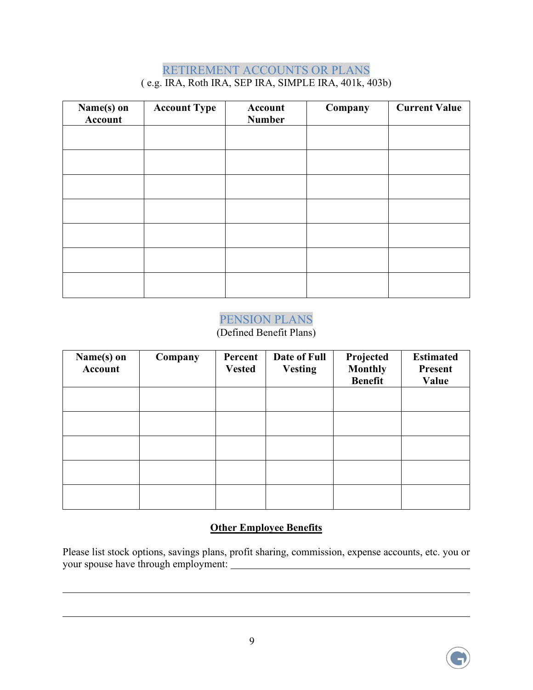#### RETIREMENT ACCOUNTS OR PLANS ( e.g. IRA, Roth IRA, SEP IRA, SIMPLE IRA, 401k, 403b)

| Name(s) on<br>Account | <b>Account Type</b> | Account<br><b>Number</b> | Company | <b>Current Value</b> |
|-----------------------|---------------------|--------------------------|---------|----------------------|
|                       |                     |                          |         |                      |
|                       |                     |                          |         |                      |
|                       |                     |                          |         |                      |
|                       |                     |                          |         |                      |
|                       |                     |                          |         |                      |
|                       |                     |                          |         |                      |
|                       |                     |                          |         |                      |

#### PENSION PLANS

#### (Defined Benefit Plans)

| Name(s) on<br>Account | Company | Percent<br><b>Vested</b> | Date of Full<br><b>Vesting</b> | Projected<br><b>Monthly</b><br><b>Benefit</b> | <b>Estimated</b><br><b>Present</b><br>Value |
|-----------------------|---------|--------------------------|--------------------------------|-----------------------------------------------|---------------------------------------------|
|                       |         |                          |                                |                                               |                                             |
|                       |         |                          |                                |                                               |                                             |
|                       |         |                          |                                |                                               |                                             |
|                       |         |                          |                                |                                               |                                             |
|                       |         |                          |                                |                                               |                                             |

#### **Other Employee Benefits**

Please list stock options, savings plans, profit sharing, commission, expense accounts, etc. you or your spouse have through employment:



 $\overline{a}$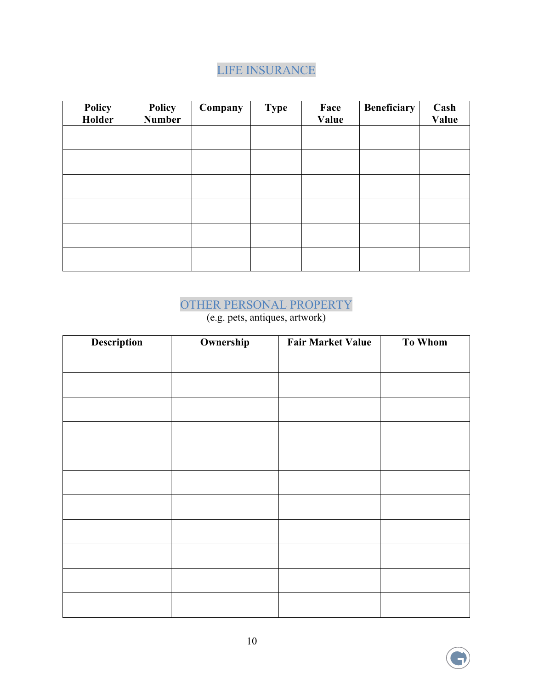## LIFE INSURANCE

| Policy<br>Holder | <b>Policy</b><br><b>Number</b> | Company | <b>Type</b> | Face<br>Value | <b>Beneficiary</b> | Cash<br>Value |
|------------------|--------------------------------|---------|-------------|---------------|--------------------|---------------|
|                  |                                |         |             |               |                    |               |
|                  |                                |         |             |               |                    |               |
|                  |                                |         |             |               |                    |               |
|                  |                                |         |             |               |                    |               |
|                  |                                |         |             |               |                    |               |
|                  |                                |         |             |               |                    |               |

# OTHER PERSONAL PROPERTY

(e.g. pets, antiques, artwork)

| <b>Description</b> | Ownership | <b>Fair Market Value</b> | To Whom |
|--------------------|-----------|--------------------------|---------|
|                    |           |                          |         |
|                    |           |                          |         |
|                    |           |                          |         |
|                    |           |                          |         |
|                    |           |                          |         |
|                    |           |                          |         |
|                    |           |                          |         |
|                    |           |                          |         |
|                    |           |                          |         |
|                    |           |                          |         |
|                    |           |                          |         |
|                    |           |                          |         |
|                    |           |                          |         |
|                    |           |                          |         |
|                    |           |                          |         |
|                    |           |                          |         |
|                    |           |                          |         |
|                    |           |                          |         |
|                    |           |                          |         |
|                    |           |                          |         |
|                    |           |                          |         |

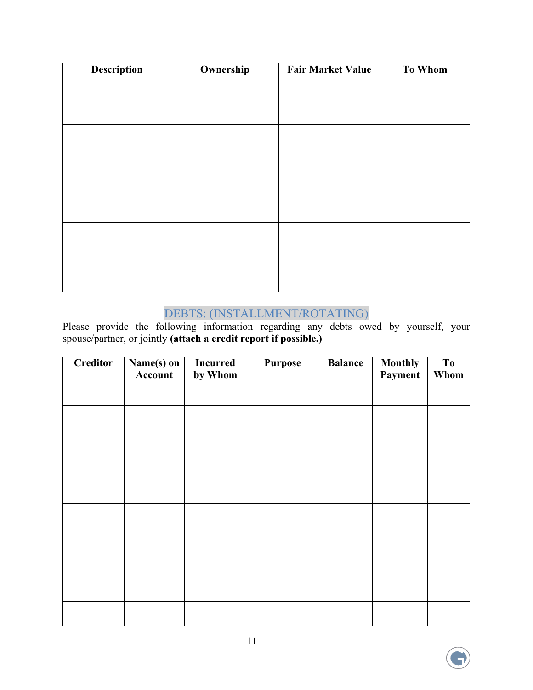| <b>Description</b> | Ownership | <b>Fair Market Value</b> | <b>To Whom</b> |
|--------------------|-----------|--------------------------|----------------|
|                    |           |                          |                |
|                    |           |                          |                |
|                    |           |                          |                |
|                    |           |                          |                |
|                    |           |                          |                |
|                    |           |                          |                |
|                    |           |                          |                |
|                    |           |                          |                |
|                    |           |                          |                |
|                    |           |                          |                |
|                    |           |                          |                |
|                    |           |                          |                |
|                    |           |                          |                |
|                    |           |                          |                |

### DEBTS: (INSTALLMENT/ROTATING)

Please provide the following information regarding any debts owed by yourself, your spouse/partner, or jointly **(attach a credit report if possible.)**

| <b>Creditor</b> | Name(s) on<br>Account | <b>Incurred</b><br>by Whom | <b>Purpose</b> | <b>Balance</b> | <b>Monthly</b><br>Payment | T <sub>o</sub><br>Whom |
|-----------------|-----------------------|----------------------------|----------------|----------------|---------------------------|------------------------|
|                 |                       |                            |                |                |                           |                        |
|                 |                       |                            |                |                |                           |                        |
|                 |                       |                            |                |                |                           |                        |
|                 |                       |                            |                |                |                           |                        |
|                 |                       |                            |                |                |                           |                        |
|                 |                       |                            |                |                |                           |                        |
|                 |                       |                            |                |                |                           |                        |
|                 |                       |                            |                |                |                           |                        |
|                 |                       |                            |                |                |                           |                        |
|                 |                       |                            |                |                |                           |                        |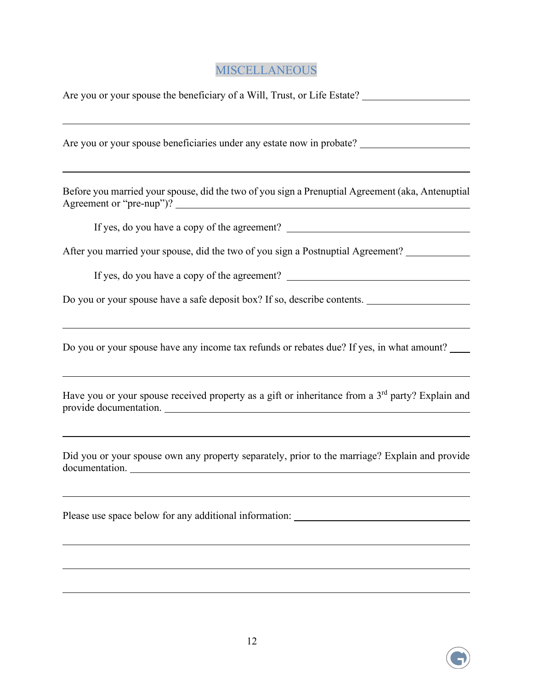## MISCELLANEOUS

| Are you or your spouse the beneficiary of a Will, Trust, or Life Estate?                                                                          |
|---------------------------------------------------------------------------------------------------------------------------------------------------|
| Are you or your spouse beneficiaries under any estate now in probate?                                                                             |
| <u> 1989 - Andrea Andrew Maria (h. 1989).</u><br>Before you married your spouse, did the two of you sign a Prenuptial Agreement (aka, Antenuptial |
| If yes, do you have a copy of the agreement? ___________________________________                                                                  |
| After you married your spouse, did the two of you sign a Postnuptial Agreement? ___________                                                       |
|                                                                                                                                                   |
| Do you or your spouse have a safe deposit box? If so, describe contents.                                                                          |
| Do you or your spouse have any income tax refunds or rebates due? If yes, in what amount?                                                         |
| Have you or your spouse received property as a gift or inheritance from a 3rd party? Explain and                                                  |
| Did you or your spouse own any property separately, prior to the marriage? Explain and provide<br>documentation.                                  |
| Please use space below for any additional information: __________________________                                                                 |
|                                                                                                                                                   |

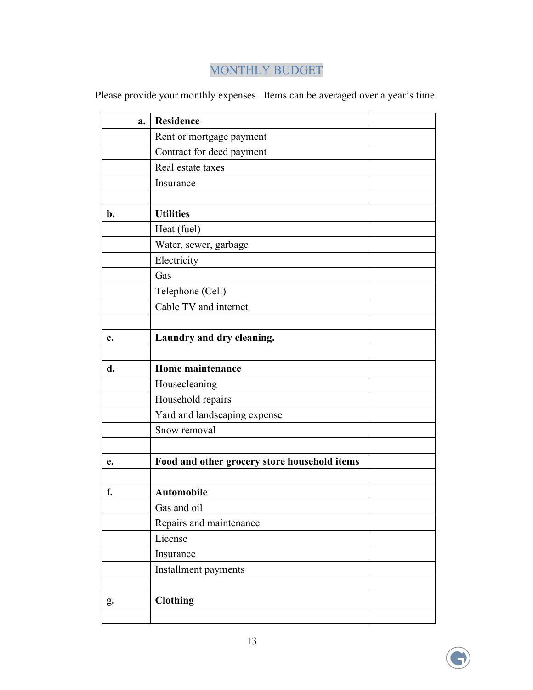## MONTHLY BUDGET

Please provide your monthly expenses. Items can be averaged over a year's time.

|                | a. | <b>Residence</b>                             |  |
|----------------|----|----------------------------------------------|--|
|                |    | Rent or mortgage payment                     |  |
|                |    | Contract for deed payment                    |  |
|                |    | Real estate taxes                            |  |
|                |    | Insurance                                    |  |
|                |    |                                              |  |
| $\mathbf{b}$ . |    | <b>Utilities</b>                             |  |
|                |    | Heat (fuel)                                  |  |
|                |    | Water, sewer, garbage                        |  |
|                |    | Electricity                                  |  |
|                |    | Gas                                          |  |
|                |    | Telephone (Cell)                             |  |
|                |    | Cable TV and internet                        |  |
|                |    |                                              |  |
| c.             |    | Laundry and dry cleaning.                    |  |
|                |    |                                              |  |
| d.             |    | Home maintenance                             |  |
|                |    | Housecleaning                                |  |
|                |    | Household repairs                            |  |
|                |    | Yard and landscaping expense                 |  |
|                |    | Snow removal                                 |  |
|                |    |                                              |  |
| e.             |    | Food and other grocery store household items |  |
|                |    |                                              |  |
| f.             |    | <b>Automobile</b>                            |  |
|                |    | Gas and oil                                  |  |
|                |    | Repairs and maintenance                      |  |
|                |    | License                                      |  |
|                |    | Insurance                                    |  |
|                |    | Installment payments                         |  |
|                |    |                                              |  |
| g.             |    | <b>Clothing</b>                              |  |
|                |    |                                              |  |

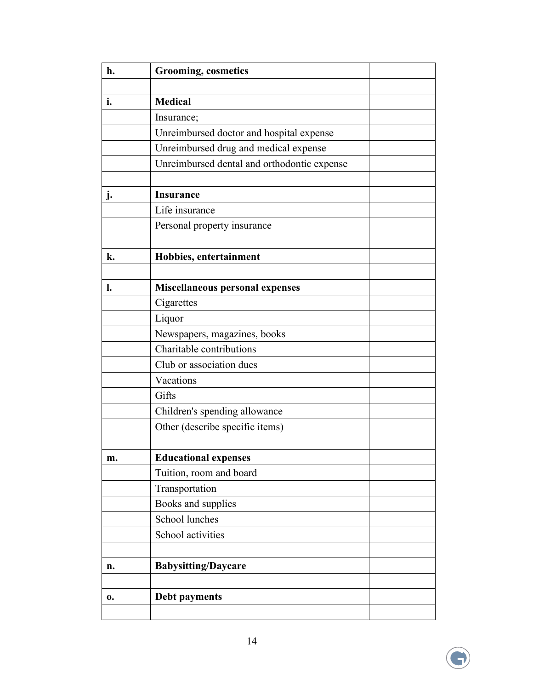| <b>Grooming</b> , cosmetics                 |                |
|---------------------------------------------|----------------|
|                                             |                |
|                                             |                |
| Insurance;                                  |                |
| Unreimbursed doctor and hospital expense    |                |
| Unreimbursed drug and medical expense       |                |
| Unreimbursed dental and orthodontic expense |                |
|                                             |                |
| <b>Insurance</b>                            |                |
| Life insurance                              |                |
| Personal property insurance                 |                |
|                                             |                |
| Hobbies, entertainment                      |                |
|                                             |                |
| <b>Miscellaneous personal expenses</b>      |                |
| Cigarettes                                  |                |
| Liquor                                      |                |
| Newspapers, magazines, books                |                |
| Charitable contributions                    |                |
| Club or association dues                    |                |
| Vacations                                   |                |
| Gifts                                       |                |
| Children's spending allowance               |                |
| Other (describe specific items)             |                |
|                                             |                |
| <b>Educational expenses</b>                 |                |
| Tuition, room and board                     |                |
| Transportation                              |                |
| Books and supplies                          |                |
| School lunches                              |                |
| School activities                           |                |
|                                             |                |
| <b>Babysitting/Daycare</b>                  |                |
|                                             |                |
| Debt payments                               |                |
|                                             |                |
|                                             | <b>Medical</b> |